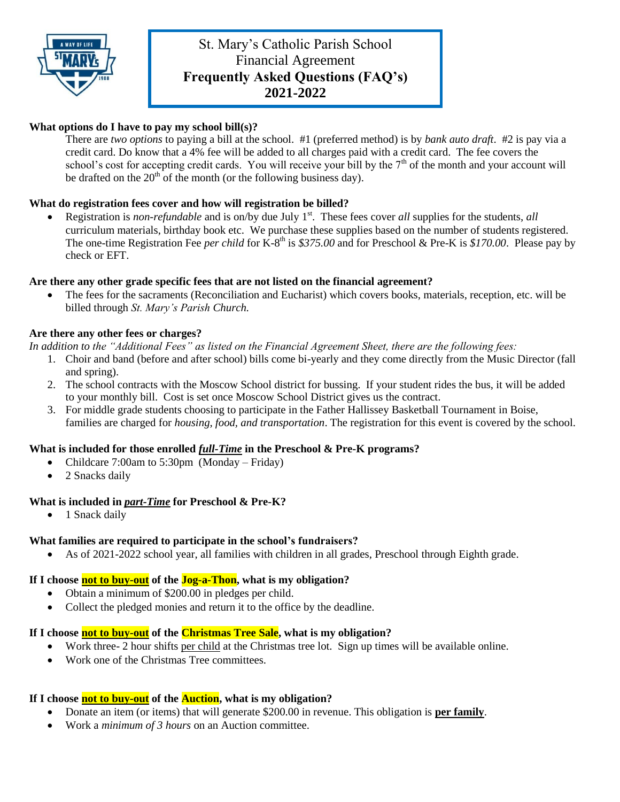

# St. Mary's Catholic Parish School Financial Agreement **Frequently Asked Questions (FAQ's) 2021-2022**

# **What options do I have to pay my school bill(s)?**

There are *two options* to paying a bill at the school. #1 (preferred method) is by *bank auto draft*. #2 is pay via a credit card. Do know that a 4% fee will be added to all charges paid with a credit card. The fee covers the school's cost for accepting credit cards. You will receive your bill by the  $7<sup>th</sup>$  of the month and your account will be drafted on the  $20<sup>th</sup>$  of the month (or the following business day).

## **What do registration fees cover and how will registration be billed?**

Registration is *non-refundable* and is on/by due July 1<sup>st</sup>. These fees cover *all* supplies for the students, *all* curriculum materials, birthday book etc. We purchase these supplies based on the number of students registered. The one-time Registration Fee *per child* for K-8<sup>th</sup> is \$375.00 and for Preschool & Pre-K is \$170.00. Please pay by check or EFT.

## **Are there any other grade specific fees that are not listed on the financial agreement?**

 The fees for the sacraments (Reconciliation and Eucharist) which covers books, materials, reception, etc. will be billed through *St. Mary's Parish Church.*

## **Are there any other fees or charges?**

*In addition to the "Additional Fees" as listed on the Financial Agreement Sheet, there are the following fees:*

- 1. Choir and band (before and after school) bills come bi-yearly and they come directly from the Music Director (fall and spring).
- 2. The school contracts with the Moscow School district for bussing. If your student rides the bus, it will be added to your monthly bill. Cost is set once Moscow School District gives us the contract.
- 3. For middle grade students choosing to participate in the Father Hallissey Basketball Tournament in Boise, families are charged for *housing, food, and transportation*. The registration for this event is covered by the school.

## **What is included for those enrolled** *full-Time* **in the Preschool & Pre-K programs?**

- Childcare 7:00am to 5:30pm (Monday Friday)
- 2 Snacks daily

## **What is included in** *part-Time* **for Preschool & Pre-K?**

• 1 Snack daily

## **What families are required to participate in the school's fundraisers?**

As of 2021-2022 school year, all families with children in all grades, Preschool through Eighth grade.

## **If I choose not to buy-out of the Jog-a-Thon, what is my obligation?**

- Obtain a minimum of \$200.00 in pledges per child.
- Collect the pledged monies and return it to the office by the deadline.

## **If I choose not to buy-out of the Christmas Tree Sale, what is my obligation?**

- Work three- 2 hour shifts per child at the Christmas tree lot. Sign up times will be available online.
- Work one of the Christmas Tree committees.

## **If I choose not to buy-out of the Auction, what is my obligation?**

- Donate an item (or items) that will generate \$200.00 in revenue. This obligation is **per family**.
- Work a *minimum of 3 hours* on an Auction committee.